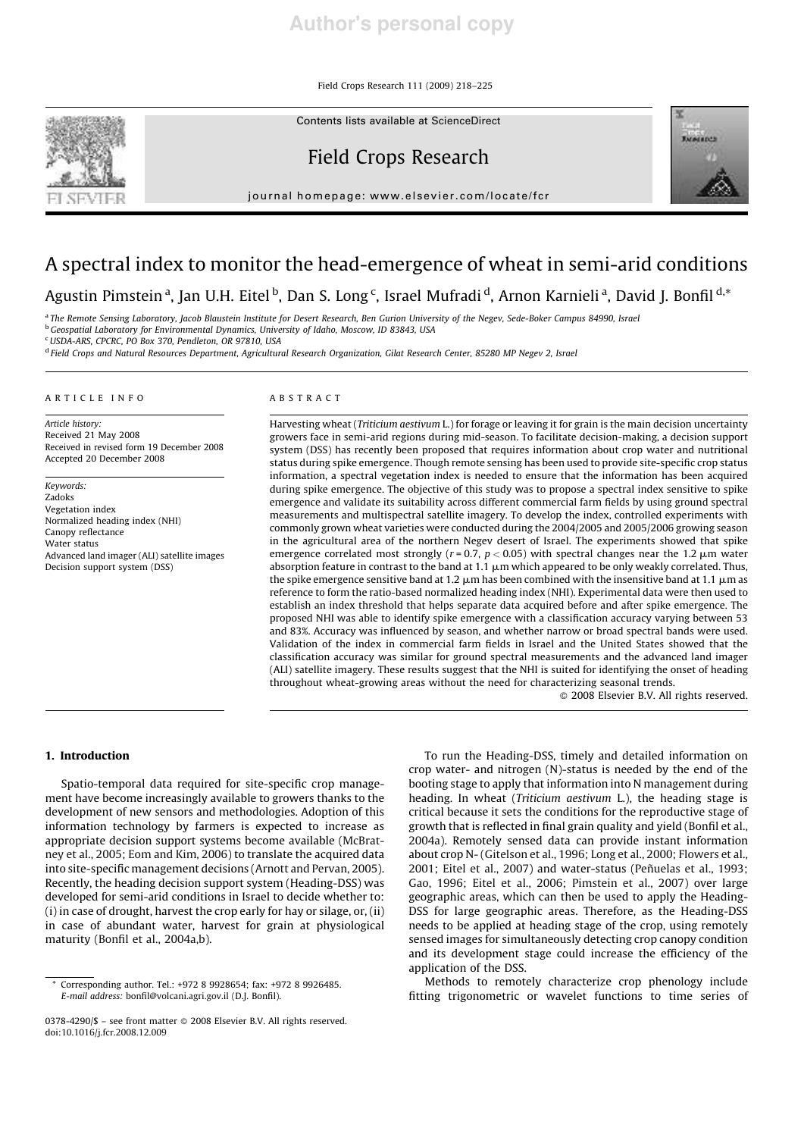Field Crops Research 111 (2009) 218–225

Contents lists available at ScienceDirect



# Field Crops Research





# A spectral index to monitor the head-emergence of wheat in semi-arid conditions

Agustin Pimstein <sup>a</sup>, Jan U.H. Eitel <sup>b</sup>, Dan S. Long <sup>c</sup>, Israel Mufradi <sup>d</sup>, Arnon Karnieli <sup>a</sup>, David J. Bonfil <sup>d,</sup>\*

a *The Remote Sensing Laboratory, Jacob Blaustein Institute for Desert Research, Ben Gurion University of the Negev, Sede-Boker Campus 84990, Israel*

<sup>b</sup>*Geospatial Laboratory for Environmental Dynamics, University of Idaho, Moscow, ID 83843, USA*

<sup>c</sup>*USDA-ARS, CPCRC, PO Box 370, Pendleton, OR 97810, USA*

<sup>d</sup> Field Crops and Natural Resources Department, Agricultural Research Organization, Gilat Research Center, 85280 MP Negev 2, Israel

#### ARTICLE INFO

*Article history:* Received 21 May 2008 Received in revised form 19 December 2008 Accepted 20 December 2008

*Keywords:* Zadoks Vegetation index Normalized heading index (NHI) Canopy reflectance Water status Advanced land imager (ALI) satellite images Decision support system (DSS)

# ABSTRACT

Harvesting wheat (*Triticium aestivum* L.) for forage or leaving it for grain is the main decision uncertainty growers face in semi-arid regions during mid-season. To facilitate decision-making, a decision support system (DSS) has recently been proposed that requires information about crop water and nutritional status during spike emergence. Though remote sensing has been used to provide site-specific crop status information, a spectral vegetation index is needed to ensure that the information has been acquired during spike emergence. The objective of this study was to propose a spectral index sensitive to spike emergence and validate its suitability across different commercial farm fields by using ground spectral measurements and multispectral satellite imagery. To develop the index, controlled experiments with commonly grown wheat varieties were conducted during the 2004/2005 and 2005/2006 growing season in the agricultural area of the northern Negev desert of Israel. The experiments showed that spike emergence correlated most strongly ( $r = 0.7$ ,  $p < 0.05$ ) with spectral changes near the 1.2  $\mu$ m water absorption feature in contrast to the band at 1.1  $\mu$ m which appeared to be only weakly correlated. Thus, the spike emergence sensitive band at 1.2  $\mu$ m has been combined with the insensitive band at 1.1  $\mu$ m as reference to form the ratio-based normalized heading index (NHI). Experimental data were then used to establish an index threshold that helps separate data acquired before and after spike emergence. The proposed NHI was able to identify spike emergence with a classification accuracy varying between 53 and 83%. Accuracy was influenced by season, and whether narrow or broad spectral bands were used. Validation of the index in commercial farm fields in Israel and the United States showed that the classification accuracy was similar for ground spectral measurements and the advanced land imager (ALI) satellite imagery. These results suggest that the NHI is suited for identifying the onset of heading throughout wheat-growing areas without the need for characterizing seasonal trends.

 $@$  2008 Elsevier B.V. All rights reserved.

#### 1. Introduction

Spatio-temporal data required for site-specific crop management have become increasingly available to growers thanks to the development of new sensors and methodologies. Adoption of this information technology by farmers is expected to increase as appropriate decision support systems become available (McBratney et al., 2005; Eom and Kim, 2006) to translate the acquired data into site-specific management decisions (Arnott and Pervan, 2005). Recently, the heading decision support system (Heading-DSS) was developed for semi-arid conditions in Israel to decide whether to: (i) in case of drought, harvest the crop early for hay or silage, or, (ii) in case of abundant water, harvest for grain at physiological maturity (Bonfil et al., 2004a,b).

To run the Heading-DSS, timely and detailed information on crop water- and nitrogen (N)-status is needed by the end of the booting stage to apply that information into N management during heading. In wheat (*Triticium aestivum* L.), the heading stage is critical because it sets the conditions for the reproductive stage of growth that is reflected in final grain quality and yield (Bonfil et al., 2004a). Remotely sensed data can provide instant information about crop N- (Gitelson et al., 1996; Long et al., 2000; Flowers et al., 2001; Eitel et al., 2007) and water-status (Peñuelas et al., 1993; Gao, 1996; Eitel et al., 2006; Pimstein et al., 2007) over large geographic areas, which can then be used to apply the Heading-DSS for large geographic areas. Therefore, as the Heading-DSS needs to be applied at heading stage of the crop, using remotely sensed images for simultaneously detecting crop canopy condition and its development stage could increase the efficiency of the application of the DSS.

Methods to remotely characterize crop phenology include fitting trigonometric or wavelet functions to time series of

<sup>\*</sup> Corresponding author. Tel.: +972 8 9928654; fax: +972 8 9926485. *E-mail address:* bonfil@volcani.agri.gov.il (D.J. Bonfil).

<sup>0378-4290/\$ -</sup> see front matter © 2008 Elsevier B.V. All rights reserved. doi:10.1016/j.fcr.2008.12.009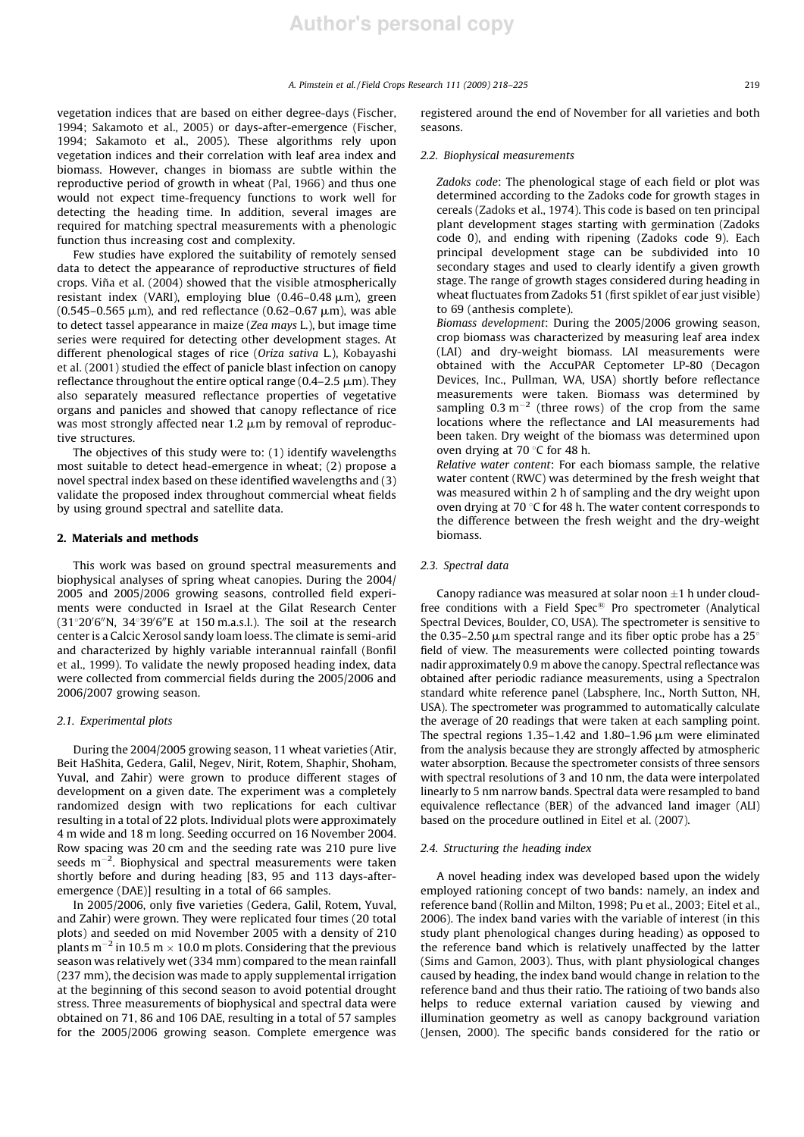vegetation indices that are based on either degree-days (Fischer, 1994; Sakamoto et al., 2005) or days-after-emergence (Fischer, 1994; Sakamoto et al., 2005). These algorithms rely upon vegetation indices and their correlation with leaf area index and biomass. However, changes in biomass are subtle within the reproductive period of growth in wheat (Pal, 1966) and thus one would not expect time-frequency functions to work well for detecting the heading time. In addition, several images are required for matching spectral measurements with a phenologic function thus increasing cost and complexity.

Few studies have explored the suitability of remotely sensed data to detect the appearance of reproductive structures of field crops. Viña et al. (2004) showed that the visible atmospherically resistant index (VARI), employing blue  $(0.46-0.48 \mu m)$ , green  $(0.545 - 0.565 \mu m)$ , and red reflectance  $(0.62 - 0.67 \mu m)$ , was able to detect tassel appearance in maize (*Zea mays* L.), but image time series were required for detecting other development stages. At different phenological stages of rice (*Oriza sativa* L.), Kobayashi et al. (2001) studied the effect of panicle blast infection on canopy reflectance throughout the entire optical range (0.4–2.5  $\mu$ m). They also separately measured reflectance properties of vegetative organs and panicles and showed that canopy reflectance of rice was most strongly affected near  $1.2 \mu m$  by removal of reproductive structures.

The objectives of this study were to: (1) identify wavelengths most suitable to detect head-emergence in wheat; (2) propose a novel spectral index based on these identified wavelengths and (3) validate the proposed index throughout commercial wheat fields by using ground spectral and satellite data.

# 2. Materials and methods

This work was based on ground spectral measurements and biophysical analyses of spring wheat canopies. During the 2004/ 2005 and 2005/2006 growing seasons, controlled field experiments were conducted in Israel at the Gilat Research Center  $(31^{\circ}20'6''N, 34^{\circ}39'6''E$  at 150 m.a.s.l.). The soil at the research center is a Calcic Xerosol sandy loam loess. The climate is semi-arid and characterized by highly variable interannual rainfall (Bonfil et al., 1999). To validate the newly proposed heading index, data were collected from commercial fields during the 2005/2006 and 2006/2007 growing season.

# *2.1. Experimental plots*

During the 2004/2005 growing season, 11 wheat varieties (Atir, Beit HaShita, Gedera, Galil, Negev, Nirit, Rotem, Shaphir, Shoham, Yuval, and Zahir) were grown to produce different stages of development on a given date. The experiment was a completely randomized design with two replications for each cultivar resulting in a total of 22 plots. Individual plots were approximately 4 m wide and 18 m long. Seeding occurred on 16 November 2004. Row spacing was 20 cm and the seeding rate was 210 pure live seeds  $m^{-2}$ . Biophysical and spectral measurements were taken shortly before and during heading [83, 95 and 113 days-afteremergence (DAE)] resulting in a total of 66 samples.

In 2005/2006, only five varieties (Gedera, Galil, Rotem, Yuval, and Zahir) were grown. They were replicated four times (20 total plots) and seeded on mid November 2005 with a density of 210 plants m $^{-2}$  in 10.5 m  $\times$  10.0 m plots. Considering that the previous season was relatively wet (334 mm) compared to the mean rainfall (237 mm), the decision was made to apply supplemental irrigation at the beginning of this second season to avoid potential drought stress. Three measurements of biophysical and spectral data were obtained on 71, 86 and 106 DAE, resulting in a total of 57 samples for the 2005/2006 growing season. Complete emergence was

registered around the end of November for all varieties and both seasons.

# *2.2. Biophysical measurements*

*Zadoks code*: The phenological stage of each field or plot was determined according to the Zadoks code for growth stages in cereals (Zadoks et al., 1974). This code is based on ten principal plant development stages starting with germination (Zadoks code 0), and ending with ripening (Zadoks code 9). Each principal development stage can be subdivided into 10 secondary stages and used to clearly identify a given growth stage. The range of growth stages considered during heading in wheat fluctuates from Zadoks 51 (first spiklet of ear just visible) to 69 (anthesis complete).

*Biomass development*: During the 2005/2006 growing season, crop biomass was characterized by measuring leaf area index (LAI) and dry-weight biomass. LAI measurements were obtained with the AccuPAR Ceptometer LP-80 (Decagon Devices, Inc., Pullman, WA, USA) shortly before reflectance measurements were taken. Biomass was determined by sampling  $0.3 \text{ m}^{-2}$  (three rows) of the crop from the same locations where the reflectance and LAI measurements had been taken. Dry weight of the biomass was determined upon oven drying at 70 $\degree$ C for 48 h.

*Relative water content*: For each biomass sample, the relative water content (RWC) was determined by the fresh weight that was measured within 2 h of sampling and the dry weight upon oven drying at 70  $\degree$ C for 48 h. The water content corresponds to the difference between the fresh weight and the dry-weight biomass.

# *2.3. Spectral data*

Canopy radiance was measured at solar noon  $\pm 1$  h under cloudfree conditions with a Field Spec $\mathbb B$  Pro spectrometer (Analytical Spectral Devices, Boulder, CO, USA). The spectrometer is sensitive to the 0.35–2.50  $\mu$ m spectral range and its fiber optic probe has a 25 $\degree$ field of view. The measurements were collected pointing towards nadir approximately 0.9 m above the canopy. Spectral reflectance was obtained after periodic radiance measurements, using a Spectralon standard white reference panel (Labsphere, Inc., North Sutton, NH, USA). The spectrometer was programmed to automatically calculate the average of 20 readings that were taken at each sampling point. The spectral regions  $1.35-1.42$  and  $1.80-1.96 \mu m$  were eliminated from the analysis because they are strongly affected by atmospheric water absorption. Because the spectrometer consists of three sensors with spectral resolutions of 3 and 10 nm, the data were interpolated linearly to 5 nm narrow bands. Spectral data were resampled to band equivalence reflectance (BER) of the advanced land imager (ALI) based on the procedure outlined in Eitel et al. (2007).

# *2.4. Structuring the heading index*

A novel heading index was developed based upon the widely employed rationing concept of two bands: namely, an index and reference band (Rollin and Milton, 1998; Pu et al., 2003; Eitel et al., 2006). The index band varies with the variable of interest (in this study plant phenological changes during heading) as opposed to the reference band which is relatively unaffected by the latter (Sims and Gamon, 2003). Thus, with plant physiological changes caused by heading, the index band would change in relation to the reference band and thus their ratio. The ratioing of two bands also helps to reduce external variation caused by viewing and illumination geometry as well as canopy background variation (Jensen, 2000). The specific bands considered for the ratio or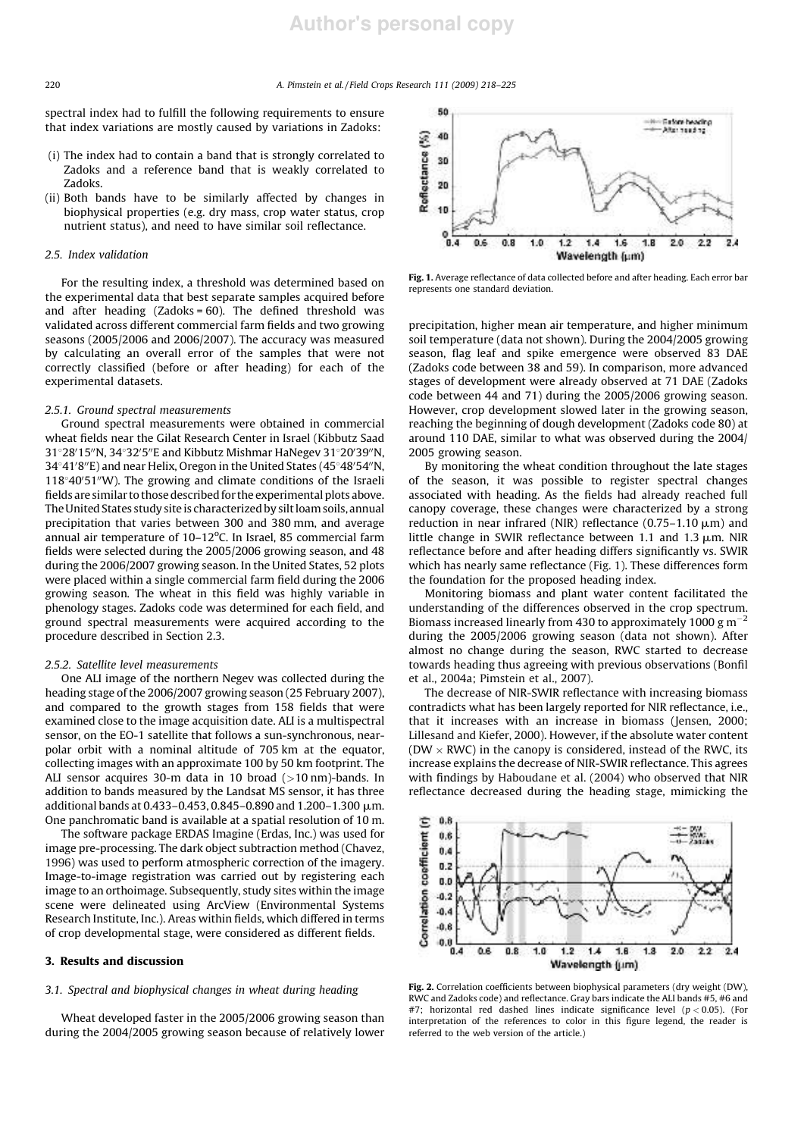spectral index had to fulfill the following requirements to ensure that index variations are mostly caused by variations in Zadoks:

- (i) The index had to contain a band that is strongly correlated to Zadoks and a reference band that is weakly correlated to Zadoks.
- (ii) Both bands have to be similarly affected by changes in biophysical properties (e.g. dry mass, crop water status, crop nutrient status), and need to have similar soil reflectance.

#### *2.5. Index validation*

For the resulting index, a threshold was determined based on the experimental data that best separate samples acquired before and after heading  $(Zadoks = 60)$ . The defined threshold was validated across different commercial farm fields and two growing seasons (2005/2006 and 2006/2007). The accuracy was measured by calculating an overall error of the samples that were not correctly classified (before or after heading) for each of the experimental datasets.

### *2.5.1. Ground spectral measurements*

Ground spectral measurements were obtained in commercial wheat fields near the Gilat Research Center in Israel (Kibbutz Saad  $31^{\circ}28'15''$ N,  $34^{\circ}32'5''$ E and Kibbutz Mishmar HaNegev  $31^{\circ}20'39''$ N, 34°41′8″E) and near Helix, Oregon in the United States (45°48′54″N,  $118°40'51''W$ ). The growing and climate conditions of the Israeli fields are similar to those described for the experimental plots above. The United States study site is characterized by silt loam soils, annual precipitation that varies between 300 and 380 mm, and average annual air temperature of 10–12°C. In Israel, 85 commercial farm fields were selected during the 2005/2006 growing season, and 48 during the 2006/2007 growing season. In the United States, 52 plots were placed within a single commercial farm field during the 2006 growing season. The wheat in this field was highly variable in phenology stages. Zadoks code was determined for each field, and ground spectral measurements were acquired according to the procedure described in Section 2.3.

#### *2.5.2. Satellite level measurements*

One ALI image of the northern Negev was collected during the heading stage of the 2006/2007 growing season (25 February 2007), and compared to the growth stages from 158 fields that were examined close to the image acquisition date. ALI is a multispectral sensor, on the EO-1 satellite that follows a sun-synchronous, nearpolar orbit with a nominal altitude of 705 km at the equator, collecting images with an approximate 100 by 50 km footprint. The ALI sensor acquires 30-m data in 10 broad  $(>10 \text{ nm})$ -bands. In addition to bands measured by the Landsat MS sensor, it has three additional bands at 0.433-0.453, 0.845-0.890 and 1.200-1.300  $\mu$ m. One panchromatic band is available at a spatial resolution of 10 m.

The software package ERDAS Imagine (Erdas, Inc.) was used for image pre-processing. The dark object subtraction method (Chavez, 1996) was used to perform atmospheric correction of the imagery. Image-to-image registration was carried out by registering each image to an orthoimage. Subsequently, study sites within the image scene were delineated using ArcView (Environmental Systems Research Institute, Inc.). Areas within fields, which differed in terms of crop developmental stage, were considered as different fields.

# 3. Results and discussion

# *3.1. Spectral and biophysical changes in wheat during heading*

Wheat developed faster in the 2005/2006 growing season than during the 2004/2005 growing season because of relatively lower



Fig. 1. Average reflectance of data collected before and after heading. Each error bar represents one standard deviation.

precipitation, higher mean air temperature, and higher minimum soil temperature (data not shown). During the 2004/2005 growing season, flag leaf and spike emergence were observed 83 DAE (Zadoks code between 38 and 59). In comparison, more advanced stages of development were already observed at 71 DAE (Zadoks code between 44 and 71) during the 2005/2006 growing season. However, crop development slowed later in the growing season, reaching the beginning of dough development (Zadoks code 80) at around 110 DAE, similar to what was observed during the 2004/ 2005 growing season.

By monitoring the wheat condition throughout the late stages of the season, it was possible to register spectral changes associated with heading. As the fields had already reached full canopy coverage, these changes were characterized by a strong reduction in near infrared (NIR) reflectance (0.75-1.10  $\mu$ m) and little change in SWIR reflectance between 1.1 and 1.3  $\mu$ m. NIR reflectance before and after heading differs significantly vs. SWIR which has nearly same reflectance (Fig. 1). These differences form the foundation for the proposed heading index.

Monitoring biomass and plant water content facilitated the understanding of the differences observed in the crop spectrum. Biomass increased linearly from 430 to approximately 1000  $\rm g\,m^{-2}$ during the 2005/2006 growing season (data not shown). After almost no change during the season, RWC started to decrease towards heading thus agreeing with previous observations (Bonfil et al., 2004a; Pimstein et al., 2007).

The decrease of NIR-SWIR reflectance with increasing biomass contradicts what has been largely reported for NIR reflectance, i.e., that it increases with an increase in biomass (Jensen, 2000; Lillesand and Kiefer, 2000). However, if the absolute water content (DW  $\times$  RWC) in the canopy is considered, instead of the RWC, its increase explains the decrease of NIR-SWIR reflectance. This agrees with findings by Haboudane et al. (2004) who observed that NIR reflectance decreased during the heading stage, mimicking the



Fig. 2. Correlation coefficients between biophysical parameters (dry weight (DW), RWC and Zadoks code) and reflectance. Gray bars indicate the ALI bands #5, #6 and #7; horizontal red dashed lines indicate significance level (*p* < 0.05). (For interpretation of the references to color in this figure legend, the reader is referred to the web version of the article.)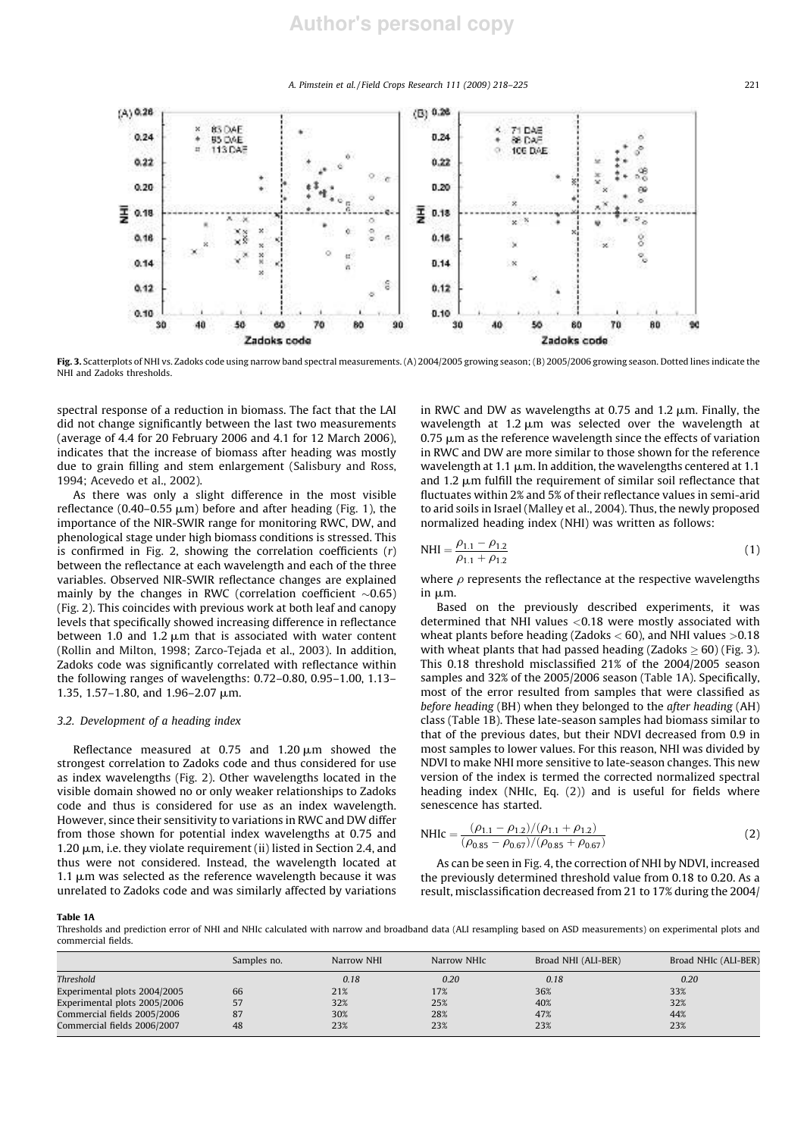*A. Pimstein et al. / Field Crops Research 111 (2009) 218–225* 221



Fig. 3. Scatterplots of NHI vs. Zadoks code using narrow band spectral measurements. (A) 2004/2005 growing season; (B) 2005/2006 growing season. Dotted lines indicate the NHI and Zadoks thresholds.

spectral response of a reduction in biomass. The fact that the LAI did not change significantly between the last two measurements (average of 4.4 for 20 February 2006 and 4.1 for 12 March 2006), indicates that the increase of biomass after heading was mostly due to grain filling and stem enlargement (Salisbury and Ross, 1994; Acevedo et al., 2002).

As there was only a slight difference in the most visible reflectance (0.40-0.55  $\mu$ m) before and after heading (Fig. 1), the importance of the NIR-SWIR range for monitoring RWC, DW, and phenological stage under high biomass conditions is stressed. This is confirmed in Fig. 2, showing the correlation coefficients (*r*) between the reflectance at each wavelength and each of the three variables. Observed NIR-SWIR reflectance changes are explained mainly by the changes in RWC (correlation coefficient  $\sim 0.65$ ) (Fig. 2). This coincides with previous work at both leaf and canopy levels that specifically showed increasing difference in reflectance between 1.0 and 1.2  $\mu$ m that is associated with water content (Rollin and Milton, 1998; Zarco-Tejada et al., 2003). In addition, Zadoks code was significantly correlated with reflectance within the following ranges of wavelengths: 0.72–0.80, 0.95–1.00, 1.13– 1.35, 1.57-1.80, and 1.96-2.07  $\mu$ m.

# *3.2. Development of a heading index*

Reflectance measured at  $0.75$  and  $1.20 \mu m$  showed the strongest correlation to Zadoks code and thus considered for use as index wavelengths (Fig. 2). Other wavelengths located in the visible domain showed no or only weaker relationships to Zadoks code and thus is considered for use as an index wavelength. However, since their sensitivity to variations in RWC and DW differ from those shown for potential index wavelengths at 0.75 and 1.20  $\mu$ m, i.e. they violate requirement (ii) listed in Section 2.4, and thus were not considered. Instead, the wavelength located at 1.1  $\mu$ m was selected as the reference wavelength because it was unrelated to Zadoks code and was similarly affected by variations in RWC and DW as wavelengths at 0.75 and 1.2  $\mu$ m. Finally, the wavelength at  $1.2 \mu m$  was selected over the wavelength at  $0.75 \mu m$  as the reference wavelength since the effects of variation in RWC and DW are more similar to those shown for the reference wavelength at 1.1  $\mu$ m. In addition, the wavelengths centered at 1.1 and 1.2  $\mu$ m fulfill the requirement of similar soil reflectance that fluctuates within 2% and 5% of their reflectance values in semi-arid to arid soils in Israel (Malley et al., 2004). Thus, the newly proposed normalized heading index (NHI) was written as follows:

$$
NHI = \frac{\rho_{1.1} - \rho_{1.2}}{\rho_{1.1} + \rho_{1.2}}
$$
 (1)

where  $\rho$  represents the reflectance at the respective wavelengths in um.

Based on the previously described experiments, it was determined that NHI values <0.18 were mostly associated with wheat plants before heading (Zadoks  $<$  60), and NHI values  $>$ 0.18 with wheat plants that had passed heading (Zadoks  $\geq 60$ ) (Fig. 3). This 0.18 threshold misclassified 21% of the 2004/2005 season samples and 32% of the 2005/2006 season (Table 1A). Specifically, most of the error resulted from samples that were classified as *before heading* (BH) when they belonged to the *after heading* (AH) class (Table 1B). These late-season samples had biomass similar to that of the previous dates, but their NDVI decreased from 0.9 in most samples to lower values. For this reason, NHI was divided by NDVI to make NHI more sensitive to late-season changes. This new version of the index is termed the corrected normalized spectral heading index (NHIc, Eq. (2)) and is useful for fields where senescence has started.

NHIC = 
$$
\frac{(\rho_{1.1} - \rho_{1.2})/(\rho_{1.1} + \rho_{1.2})}{(\rho_{0.85} - \rho_{0.67})/(\rho_{0.85} + \rho_{0.67})}
$$
(2)

As can be seen in Fig. 4, the correction of NHI by NDVI, increased the previously determined threshold value from 0.18 to 0.20. As a result, misclassification decreased from 21 to 17% during the 2004/

Table 1A

Thresholds and prediction error of NHI and NHIc calculated with narrow and broadband data (ALI resampling based on ASD measurements) on experimental plots and commercial fields.

|                              | Samples no. | Narrow NHI | Narrow NHIC | Broad NHI (ALI-BER) | Broad NHIc (ALI-BER) |  |  |
|------------------------------|-------------|------------|-------------|---------------------|----------------------|--|--|
| Threshold                    |             | 0.18       | 0.20        | 0.18                | 0.20                 |  |  |
| Experimental plots 2004/2005 | 66          | 21%        | 17%         | 36%                 | 33%                  |  |  |
| Experimental plots 2005/2006 | 57          | 32%        | 25%         | 40%                 | 32%                  |  |  |
| Commercial fields 2005/2006  | 87          | 30%        | 28%         | 47%                 | 44%                  |  |  |
| Commercial fields 2006/2007  | 48          | 23%        | 23%         | 23%                 | 23%                  |  |  |
|                              |             |            |             |                     |                      |  |  |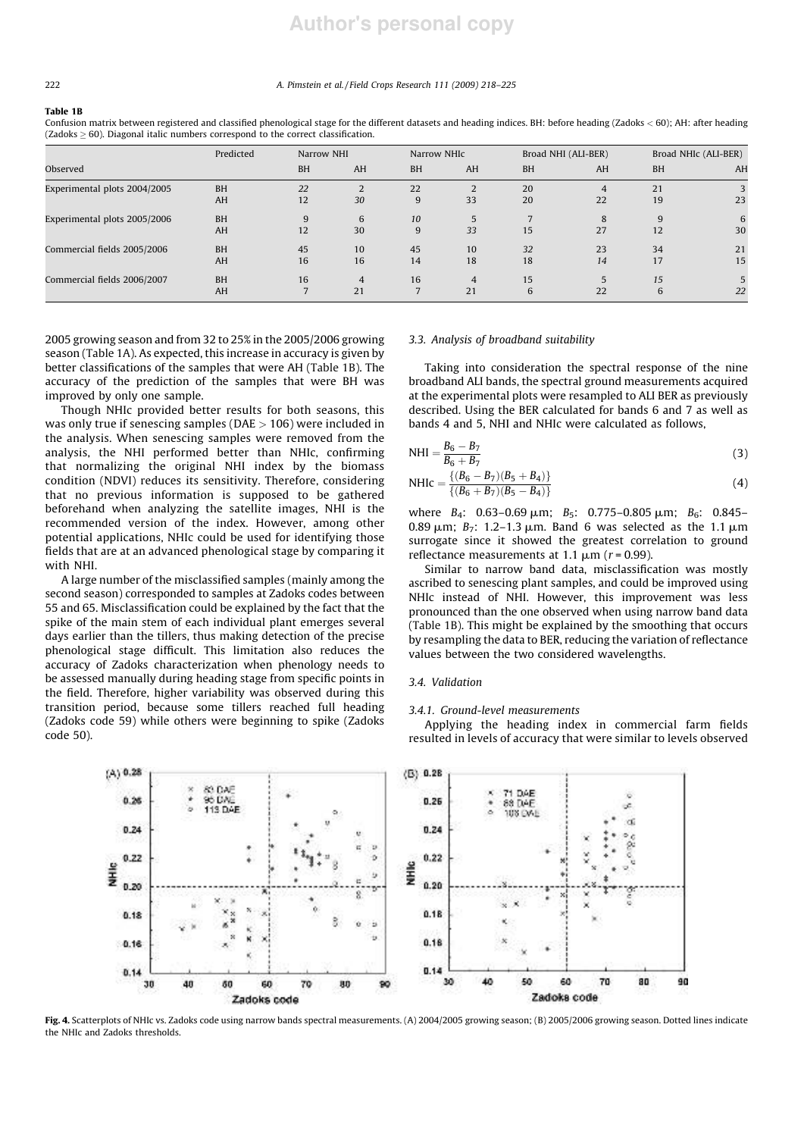# **Author's personal copy**

#### 222 *A. Pimstein et al. / Field Crops Research 111 (2009) 218–225*

#### Table 1B

Confusion matrix between registered and classified phenological stage for the different datasets and heading indices. BH: before heading (Zadoks < 60); AH: after heading  $(Zadoks > 60)$ . Diagonal italic numbers correspond to the correct classification.

|                              | Predicted |           | Narrow NHI     |           | Narrow NHIC    |           | Broad NHI (ALI-BER) |           | Broad NHIc (ALI-BER) |  |
|------------------------------|-----------|-----------|----------------|-----------|----------------|-----------|---------------------|-----------|----------------------|--|
| Observed                     |           | <b>BH</b> | AH             | <b>BH</b> | AH             | <b>BH</b> | AH                  | <b>BH</b> | AH                   |  |
| Experimental plots 2004/2005 | <b>BH</b> | 22        | 2              | 22        | 2              | 20        | 4                   | 21        |                      |  |
|                              | AH        | 12        | 30             | 9         | 33             | 20        | 22                  | 19        | 23                   |  |
| Experimental plots 2005/2006 | <b>BH</b> | 9         | 6              | 10        | 5              |           | 8                   | 9         | 6                    |  |
|                              | AH        | 12        | 30             | 9         | 33             | 15        | 27                  | 12        | 30                   |  |
| Commercial fields 2005/2006  | <b>BH</b> | 45        | 10             | 45        | 10             | 32        | 23                  | 34        | 21                   |  |
|                              | AH        | 16        | 16             | 14        | 18             | 18        | 14                  | 17        | 15                   |  |
| Commercial fields 2006/2007  | <b>BH</b> | 16        | $\overline{4}$ | 16        | $\overline{4}$ | 15        | 5                   | 15        |                      |  |
|                              | AH        |           | 21             |           | 21             | 6         | 22                  | 6         | 22                   |  |

2005 growing season and from 32 to 25% in the 2005/2006 growing season (Table 1A). As expected, this increase in accuracy is given by better classifications of the samples that were AH (Table 1B). The accuracy of the prediction of the samples that were BH was improved by only one sample.

Though NHIc provided better results for both seasons, this was only true if senescing samples ( $DAE > 106$ ) were included in the analysis. When senescing samples were removed from the analysis, the NHI performed better than NHIc, confirming that normalizing the original NHI index by the biomass condition (NDVI) reduces its sensitivity. Therefore, considering that no previous information is supposed to be gathered beforehand when analyzing the satellite images, NHI is the recommended version of the index. However, among other potential applications, NHIc could be used for identifying those fields that are at an advanced phenological stage by comparing it with NHI.

A large number of the misclassified samples (mainly among the second season) corresponded to samples at Zadoks codes between 55 and 65. Misclassification could be explained by the fact that the spike of the main stem of each individual plant emerges several days earlier than the tillers, thus making detection of the precise phenological stage difficult. This limitation also reduces the accuracy of Zadoks characterization when phenology needs to be assessed manually during heading stage from specific points in the field. Therefore, higher variability was observed during this transition period, because some tillers reached full heading (Zadoks code 59) while others were beginning to spike (Zadoks code 50).

## *3.3. Analysis of broadband suitability*

Taking into consideration the spectral response of the nine broadband ALI bands, the spectral ground measurements acquired at the experimental plots were resampled to ALI BER as previously described. Using the BER calculated for bands 6 and 7 as well as bands 4 and 5, NHI and NHIc were calculated as follows,

$$
NHI = \frac{B_6 - B_7}{B_6 + B_7}
$$
\n(3)

NHIc = 
$$
\frac{\{(B_6 - B_7)(B_5 + B_4)\}}{\{(B_6 + B_7)(B_5 - B_4)\}}
$$
(4)

where *B*<sub>4</sub>: 0.63–0.69 μm; *B*<sub>5</sub>: 0.775–0.805 μm; *B*<sub>6</sub>: 0.845– 0.89  $\mu$ m; *B*<sub>7</sub>: 1.2–1.3  $\mu$ m. Band 6 was selected as the 1.1  $\mu$ m surrogate since it showed the greatest correlation to ground reflectance measurements at 1.1  $\mu$ m ( $r$  = 0.99).

Similar to narrow band data, misclassification was mostly ascribed to senescing plant samples, and could be improved using NHIc instead of NHI. However, this improvement was less pronounced than the one observed when using narrow band data (Table 1B). This might be explained by the smoothing that occurs by resampling the data to BER, reducing the variation of reflectance values between the two considered wavelengths.

#### *3.4. Validation*

# *3.4.1. Ground-level measurements*

Applying the heading index in commercial farm fields resulted in levels of accuracy that were similar to levels observed



Fig. 4. Scatterplots of NHIc vs. Zadoks code using narrow bands spectral measurements. (A) 2004/2005 growing season; (B) 2005/2006 growing season. Dotted lines indicate the NHIc and Zadoks thresholds.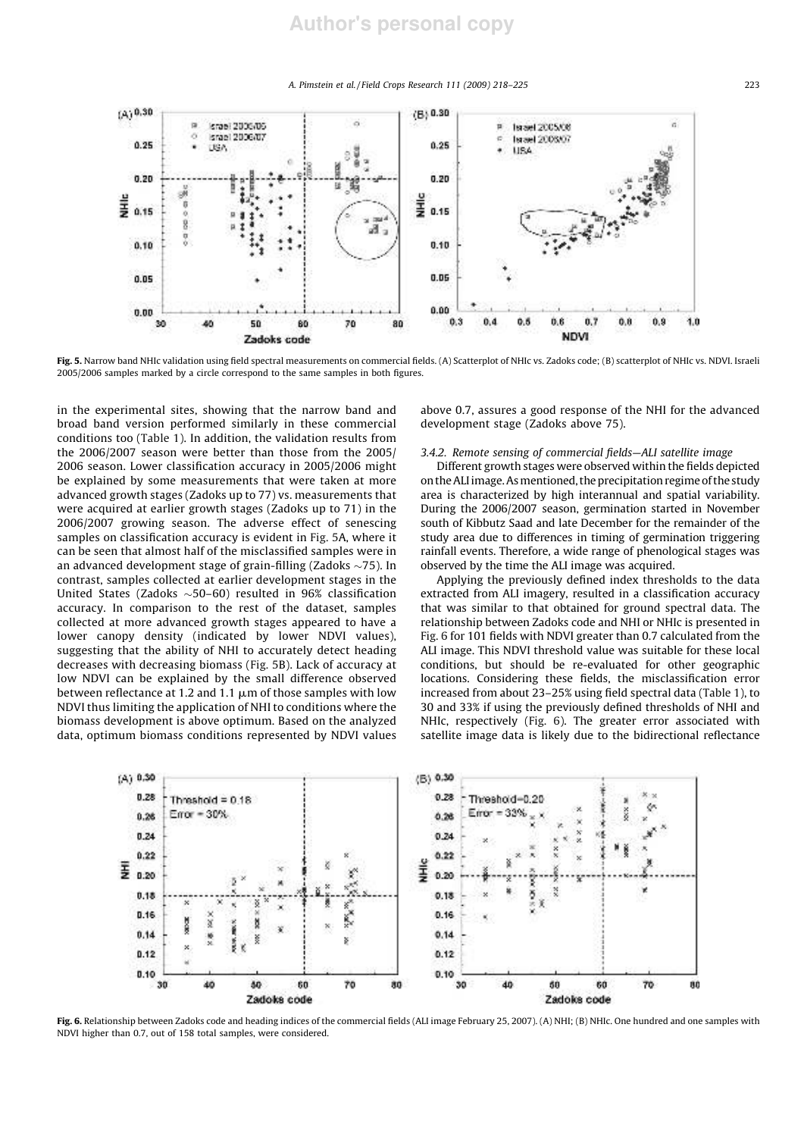*A. Pimstein et al. / Field Crops Research 111 (2009) 218–225* 223



Fig. 5. Narrow band NHIc validation using field spectral measurements on commercial fields. (A) Scatterplot of NHIc vs. Zadoks code; (B) scatterplot of NHIc vs. NDVI. Israeli 2005/2006 samples marked by a circle correspond to the same samples in both figures.

in the experimental sites, showing that the narrow band and broad band version performed similarly in these commercial conditions too (Table 1). In addition, the validation results from the 2006/2007 season were better than those from the 2005/ 2006 season. Lower classification accuracy in 2005/2006 might be explained by some measurements that were taken at more advanced growth stages (Zadoks up to 77) vs. measurements that were acquired at earlier growth stages (Zadoks up to 71) in the 2006/2007 growing season. The adverse effect of senescing samples on classification accuracy is evident in Fig. 5A, where it can be seen that almost half of the misclassified samples were in an advanced development stage of grain-filling (Zadoks  $\sim$ 75). In contrast, samples collected at earlier development stages in the United States (Zadoks  $\sim$  50–60) resulted in 96% classification accuracy. In comparison to the rest of the dataset, samples collected at more advanced growth stages appeared to have a lower canopy density (indicated by lower NDVI values), suggesting that the ability of NHI to accurately detect heading decreases with decreasing biomass (Fig. 5B). Lack of accuracy at low NDVI can be explained by the small difference observed between reflectance at 1.2 and 1.1  $\mu$ m of those samples with low NDVI thus limiting the application of NHI to conditions where the biomass development is above optimum. Based on the analyzed data, optimum biomass conditions represented by NDVI values above 0.7, assures a good response of the NHI for the advanced development stage (Zadoks above 75).

# *3.4.2. Remote sensing of commercial fields—ALI satellite image*

Different growth stages were observed within the fields depicted on the ALI image. As mentioned, the precipitation regime of the study area is characterized by high interannual and spatial variability. During the 2006/2007 season, germination started in November south of Kibbutz Saad and late December for the remainder of the study area due to differences in timing of germination triggering rainfall events. Therefore, a wide range of phenological stages was observed by the time the ALI image was acquired.

Applying the previously defined index thresholds to the data extracted from ALI imagery, resulted in a classification accuracy that was similar to that obtained for ground spectral data. The relationship between Zadoks code and NHI or NHIc is presented in Fig. 6 for 101 fields with NDVI greater than 0.7 calculated from the ALI image. This NDVI threshold value was suitable for these local conditions, but should be re-evaluated for other geographic locations. Considering these fields, the misclassification error increased from about 23–25% using field spectral data (Table 1), to 30 and 33% if using the previously defined thresholds of NHI and NHIc, respectively (Fig. 6). The greater error associated with satellite image data is likely due to the bidirectional reflectance



Fig. 6. Relationship between Zadoks code and heading indices of the commercial fields (ALI image February 25, 2007). (A) NHI; (B) NHIc. One hundred and one samples with NDVI higher than 0.7, out of 158 total samples, were considered.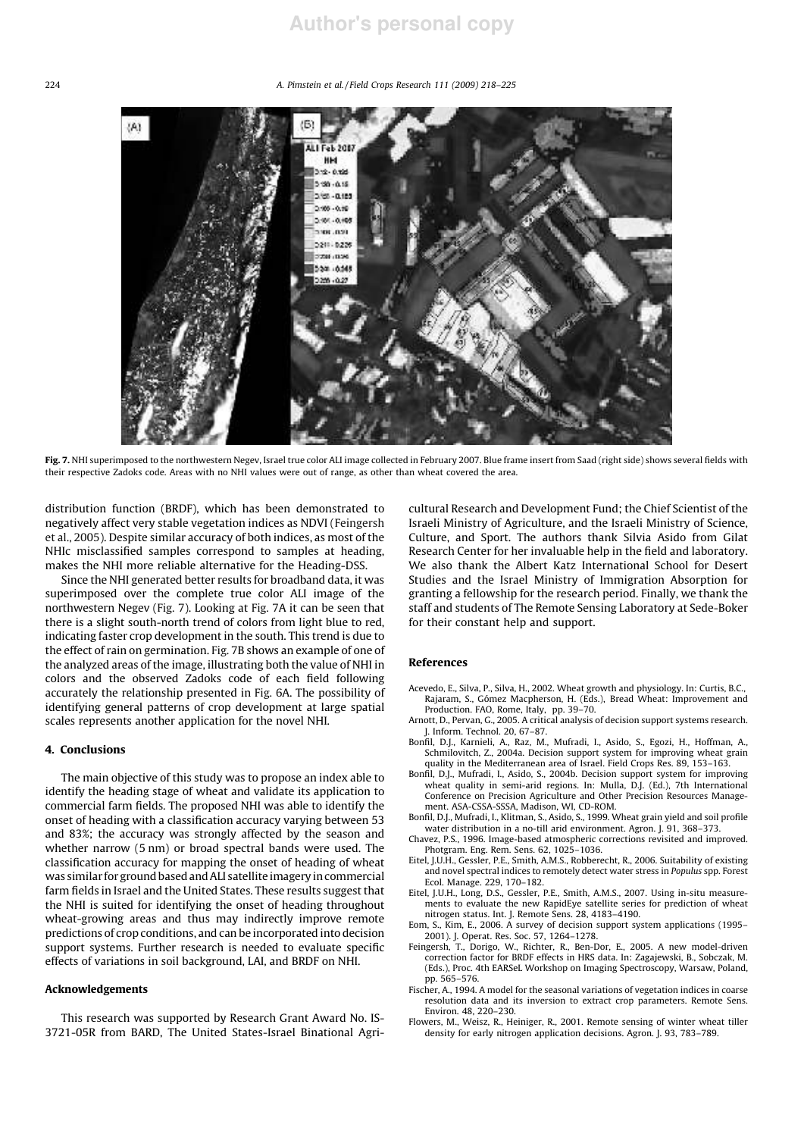#### 224 *A. Pimstein et al. / Field Crops Research 111 (2009) 218–225*



Fig. 7. NHI superimposed to the northwestern Negev, Israel true color ALI image collected in February 2007. Blue frame insert from Saad (right side) shows several fields with their respective Zadoks code. Areas with no NHI values were out of range, as other than wheat covered the area.

distribution function (BRDF), which has been demonstrated to negatively affect very stable vegetation indices as NDVI (Feingersh et al., 2005). Despite similar accuracy of both indices, as most of the NHIc misclassified samples correspond to samples at heading, makes the NHI more reliable alternative for the Heading-DSS.

Since the NHI generated better results for broadband data, it was superimposed over the complete true color ALI image of the northwestern Negev (Fig. 7). Looking at Fig. 7A it can be seen that there is a slight south-north trend of colors from light blue to red, indicating faster crop development in the south. This trend is due to the effect of rain on germination. Fig. 7B shows an example of one of the analyzed areas of the image, illustrating both the value of NHI in colors and the observed Zadoks code of each field following accurately the relationship presented in Fig. 6A. The possibility of identifying general patterns of crop development at large spatial scales represents another application for the novel NHI.

# 4. Conclusions

The main objective of this study was to propose an index able to identify the heading stage of wheat and validate its application to commercial farm fields. The proposed NHI was able to identify the onset of heading with a classification accuracy varying between 53 and 83%; the accuracy was strongly affected by the season and whether narrow (5 nm) or broad spectral bands were used. The classification accuracy for mapping the onset of heading of wheat was similar for ground based and ALI satellite imagery in commercial farm fields in Israel and the United States. These results suggest that the NHI is suited for identifying the onset of heading throughout wheat-growing areas and thus may indirectly improve remote predictions of crop conditions, and can be incorporated into decision support systems. Further research is needed to evaluate specific effects of variations in soil background, LAI, and BRDF on NHI.

# Acknowledgements

This research was supported by Research Grant Award No. IS-3721-05R from BARD, The United States-Israel Binational Agricultural Research and Development Fund; the Chief Scientist of the Israeli Ministry of Agriculture, and the Israeli Ministry of Science, Culture, and Sport. The authors thank Silvia Asido from Gilat Research Center for her invaluable help in the field and laboratory. We also thank the Albert Katz International School for Desert Studies and the Israel Ministry of Immigration Absorption for granting a fellowship for the research period. Finally, we thank the staff and students of The Remote Sensing Laboratory at Sede-Boker for their constant help and support.

# References

- Acevedo, E., Silva, P., Silva, H., 2002. Wheat growth and physiology. In: Curtis, B.C., Rajaram, S., Go´mez Macpherson, H. (Eds.), Bread Wheat: Improvement and Production. FAO, Rome, Italy, pp. 39–70.
- Arnott, D., Pervan, G., 2005. A critical analysis of decision support systems research. J. Inform. Technol. 20, 67–87.
- Bonfil, D.J., Karnieli, A., Raz, M., Mufradi, I., Asido, S., Egozi, H., Hoffman, A., Schmilovitch, Z., 2004a. Decision support system for improving wheat grain quality in the Mediterranean area of Israel. Field Crops Res. 89, 153–163.
- Bonfil, D.J., Mufradi, I., Asido, S., 2004b. Decision support system for improving wheat quality in semi-arid regions. In: Mulla, D.J. (Ed.), 7th International Conference on Precision Agriculture and Other Precision Resources Management. ASA-CSSA-SSSA, Madison, WI, CD-ROM.
- Bonfil, D.J., Mufradi, I., Klitman, S., Asido, S., 1999. Wheat grain yield and soil profile water distribution in a no-till arid environment. Agron. J. 91, 368–373.
- Chavez, P.S., 1996. Image-based atmospheric corrections revisited and improved. Photgram. Eng. Rem. Sens. 62, 1025–1036.
- Eitel, J.U.H., Gessler, P.E., Smith, A.M.S., Robberecht, R., 2006. Suitability of existing and novel spectral indices to remotely detect water stress in *Populus* spp. Forest Ecol. Manage. 229, 170–182.
- Eitel, J.U.H., Long, D.S., Gessler, P.E., Smith, A.M.S., 2007. Using in-situ measurements to evaluate the new RapidEye satellite series for prediction of wheat nitrogen status. Int. J. Remote Sens. 28, 4183–4190.
- Eom, S., Kim, E., 2006. A survey of decision support system applications (1995– 2001). J. Operat. Res. Soc. 57, 1264–1278.
- Feingersh, T., Dorigo, W., Richter, R., Ben-Dor, E., 2005. A new model-driven correction factor for BRDF effects in HRS data. In: Zagajewski, B., Sobczak, M. (Eds.), Proc. 4th EARSeL Workshop on Imaging Spectroscopy, Warsaw, Poland, pp. 565–576.
- Fischer, A., 1994. A model for the seasonal variations of vegetation indices in coarse resolution data and its inversion to extract crop parameters. Remote Sens. Environ. 48, 220–230.
- Flowers, M., Weisz, R., Heiniger, R., 2001. Remote sensing of winter wheat tiller density for early nitrogen application decisions. Agron. J. 93, 783–789.